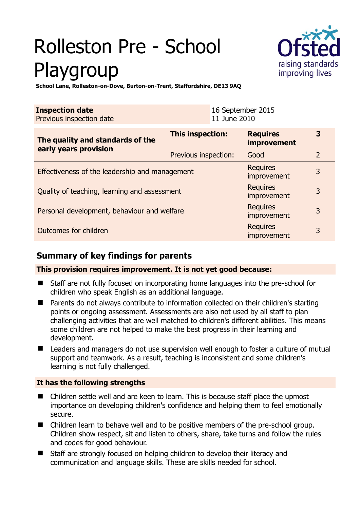# Rolleston Pre - School Playgroup



**3** 

kequires<br>improvement 3

nequires 3<br>improvement

nequires 3<br>improvement 3

nequires<br>improvement 3

**School Lane, Rolleston-on-Dove, Burton-on-Trent, Staffordshire, DE13 9AQ** 

| <b>Inspection date</b><br>Previous inspection date        |                      | 16 September 2015<br>11 June 2010 |   |
|-----------------------------------------------------------|----------------------|-----------------------------------|---|
| The quality and standards of the<br>early years provision | This inspection:     | <b>Requires</b><br>improvement    |   |
|                                                           | Previous inspection: | Good                              |   |
| Effectiveness of the leadership and management            |                      | <b>Requires</b>                   | 3 |

Quality of teaching, learning and assessment

Personal development, behaviour and welfare Requires

Outcomes for children Requires

# **Summary of key findings for parents**

**This provision requires improvement. It is not yet good because:** 

- Staff are not fully focused on incorporating home languages into the pre-school for children who speak English as an additional language.
- Parents do not always contribute to information collected on their children's starting points or ongoing assessment. Assessments are also not used by all staff to plan challenging activities that are well matched to children's different abilities. This means some children are not helped to make the best progress in their learning and development.
- Leaders and managers do not use supervision well enough to foster a culture of mutual support and teamwork. As a result, teaching is inconsistent and some children's learning is not fully challenged.

## **It has the following strengths**

- Children settle well and are keen to learn. This is because staff place the upmost importance on developing children's confidence and helping them to feel emotionally secure.
- Children learn to behave well and to be positive members of the pre-school group. Children show respect, sit and listen to others, share, take turns and follow the rules and codes for good behaviour.
- Staff are strongly focused on helping children to develop their literacy and communication and language skills. These are skills needed for school.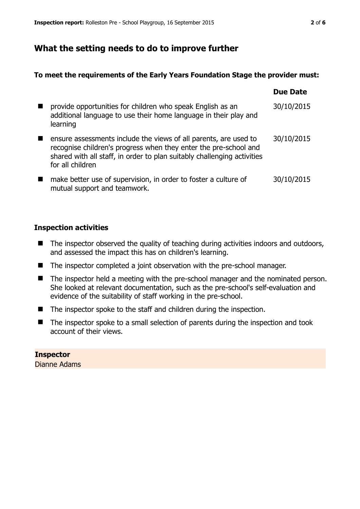## **What the setting needs to do to improve further**

## **To meet the requirements of the Early Years Foundation Stage the provider must:**

|                                                                                                                                                                                                                                     | Due Date   |
|-------------------------------------------------------------------------------------------------------------------------------------------------------------------------------------------------------------------------------------|------------|
| provide opportunities for children who speak English as an<br>additional language to use their home language in their play and<br>learning                                                                                          | 30/10/2015 |
| ensure assessments include the views of all parents, are used to<br>recognise children's progress when they enter the pre-school and<br>shared with all staff, in order to plan suitably challenging activities<br>for all children | 30/10/2015 |
| make better use of supervision, in order to foster a culture of<br>mutual support and teamwork.                                                                                                                                     | 30/10/2015 |

## **Inspection activities**

- The inspector observed the quality of teaching during activities indoors and outdoors, and assessed the impact this has on children's learning.
- The inspector completed a joint observation with the pre-school manager.
- The inspector held a meeting with the pre-school manager and the nominated person. She looked at relevant documentation, such as the pre-school's self-evaluation and evidence of the suitability of staff working in the pre-school.
- The inspector spoke to the staff and children during the inspection.
- $\blacksquare$  The inspector spoke to a small selection of parents during the inspection and took account of their views.

## **Inspector**  Dianne Adams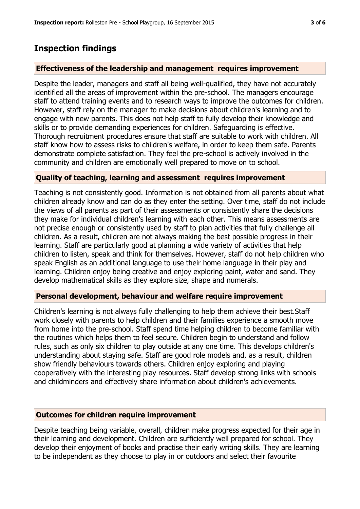# **Inspection findings**

## **Effectiveness of the leadership and management requires improvement**

Despite the leader, managers and staff all being well-qualified, they have not accurately identified all the areas of improvement within the pre-school. The managers encourage staff to attend training events and to research ways to improve the outcomes for children. However, staff rely on the manager to make decisions about children's learning and to engage with new parents. This does not help staff to fully develop their knowledge and skills or to provide demanding experiences for children. Safeguarding is effective. Thorough recruitment procedures ensure that staff are suitable to work with children. All staff know how to assess risks to children's welfare, in order to keep them safe. Parents demonstrate complete satisfaction. They feel the pre-school is actively involved in the community and children are emotionally well prepared to move on to school.

## **Quality of teaching, learning and assessment requires improvement**

Teaching is not consistently good. Information is not obtained from all parents about what children already know and can do as they enter the setting. Over time, staff do not include the views of all parents as part of their assessments or consistently share the decisions they make for individual children's learning with each other. This means assessments are not precise enough or consistently used by staff to plan activities that fully challenge all children. As a result, children are not always making the best possible progress in their learning. Staff are particularly good at planning a wide variety of activities that help children to listen, speak and think for themselves. However, staff do not help children who speak English as an additional language to use their home language in their play and learning. Children enjoy being creative and enjoy exploring paint, water and sand. They develop mathematical skills as they explore size, shape and numerals.

## **Personal development, behaviour and welfare require improvement**

Children's learning is not always fully challenging to help them achieve their best.Staff work closely with parents to help children and their families experience a smooth move from home into the pre-school. Staff spend time helping children to become familiar with the routines which helps them to feel secure. Children begin to understand and follow rules, such as only six children to play outside at any one time. This develops children's understanding about staying safe. Staff are good role models and, as a result, children show friendly behaviours towards others. Children enjoy exploring and playing cooperatively with the interesting play resources. Staff develop strong links with schools and childminders and effectively share information about children's achievements.

## **Outcomes for children require improvement**

Despite teaching being variable, overall, children make progress expected for their age in their learning and development. Children are sufficiently well prepared for school. They develop their enjoyment of books and practise their early writing skills. They are learning to be independent as they choose to play in or outdoors and select their favourite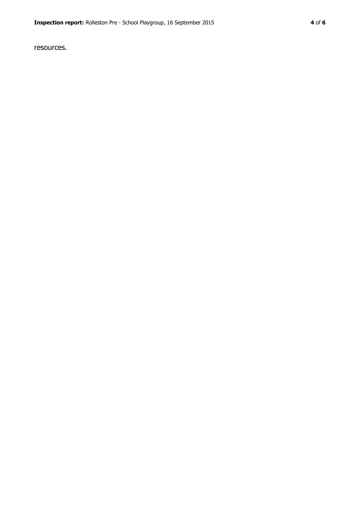resources.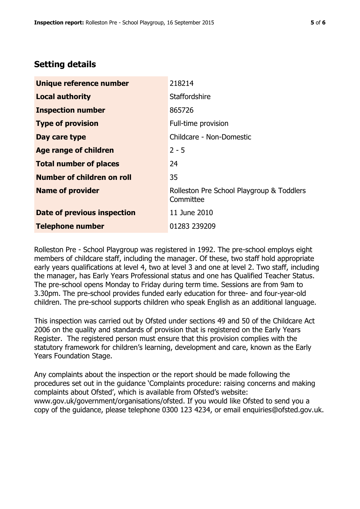## **Setting details**

| Unique reference number       | 218214                                                 |
|-------------------------------|--------------------------------------------------------|
| <b>Local authority</b>        | Staffordshire                                          |
| <b>Inspection number</b>      | 865726                                                 |
| <b>Type of provision</b>      | Full-time provision                                    |
| Day care type                 | Childcare - Non-Domestic                               |
| <b>Age range of children</b>  | $2 - 5$                                                |
| <b>Total number of places</b> | 24                                                     |
| Number of children on roll    | 35                                                     |
| <b>Name of provider</b>       | Rolleston Pre School Playgroup & Toddlers<br>Committee |
| Date of previous inspection   | 11 June 2010                                           |
| <b>Telephone number</b>       | 01283 239209                                           |

Rolleston Pre - School Playgroup was registered in 1992. The pre-school employs eight members of childcare staff, including the manager. Of these, two staff hold appropriate early years qualifications at level 4, two at level 3 and one at level 2. Two staff, including the manager, has Early Years Professional status and one has Qualified Teacher Status. The pre-school opens Monday to Friday during term time. Sessions are from 9am to 3.30pm. The pre-school provides funded early education for three- and four-year-old children. The pre-school supports children who speak English as an additional language.

This inspection was carried out by Ofsted under sections 49 and 50 of the Childcare Act 2006 on the quality and standards of provision that is registered on the Early Years Register. The registered person must ensure that this provision complies with the statutory framework for children's learning, development and care, known as the Early Years Foundation Stage.

Any complaints about the inspection or the report should be made following the procedures set out in the guidance 'Complaints procedure: raising concerns and making complaints about Ofsted', which is available from Ofsted's website: www.gov.uk/government/organisations/ofsted. If you would like Ofsted to send you a copy of the guidance, please telephone 0300 123 4234, or email enquiries@ofsted.gov.uk.